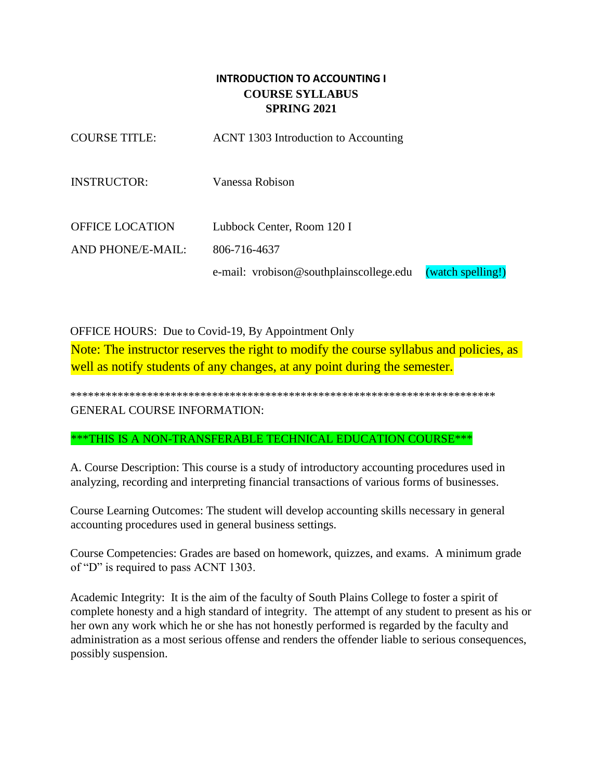# **INTRODUCTION TO ACCOUNTING I COURSE SYLLABUS SPRING 2021**

| <b>COURSE TITLE:</b>   | ACNT 1303 Introduction to Accounting    |                   |
|------------------------|-----------------------------------------|-------------------|
| <b>INSTRUCTOR:</b>     | Vanessa Robison                         |                   |
| <b>OFFICE LOCATION</b> | Lubbock Center, Room 120 I              |                   |
| AND PHONE/E-MAIL:      | 806-716-4637                            |                   |
|                        | e-mail: vrobison@southplainscollege.edu | (watch spelling!) |

OFFICE HOURS: Due to Covid-19, By Appointment Only Note: The instructor reserves the right to modify the course syllabus and policies, as well as notify students of any changes, at any point during the semester.

\*\*\*\*\*\*\*\*\*\*\*\*\*\*\*\*\*\*\*\*\*\*\*\*\*\*\*\*\*\*\*\*\*\*\*\*\*\*\*\*\*\*\*\*\*\*\*\*\*\*\*\*\*\*\*\*\*\*\*\*\*\*\*\*\*\*\*\*\*\*\*\* GENERAL COURSE INFORMATION:

\*\*\*THIS IS A NON-TRANSFERABLE TECHNICAL EDUCATION COURSE\*\*\*

A. Course Description: This course is a study of introductory accounting procedures used in analyzing, recording and interpreting financial transactions of various forms of businesses.

Course Learning Outcomes: The student will develop accounting skills necessary in general accounting procedures used in general business settings.

Course Competencies: Grades are based on homework, quizzes, and exams. A minimum grade of "D" is required to pass ACNT 1303.

Academic Integrity: It is the aim of the faculty of South Plains College to foster a spirit of complete honesty and a high standard of integrity. The attempt of any student to present as his or her own any work which he or she has not honestly performed is regarded by the faculty and administration as a most serious offense and renders the offender liable to serious consequences, possibly suspension.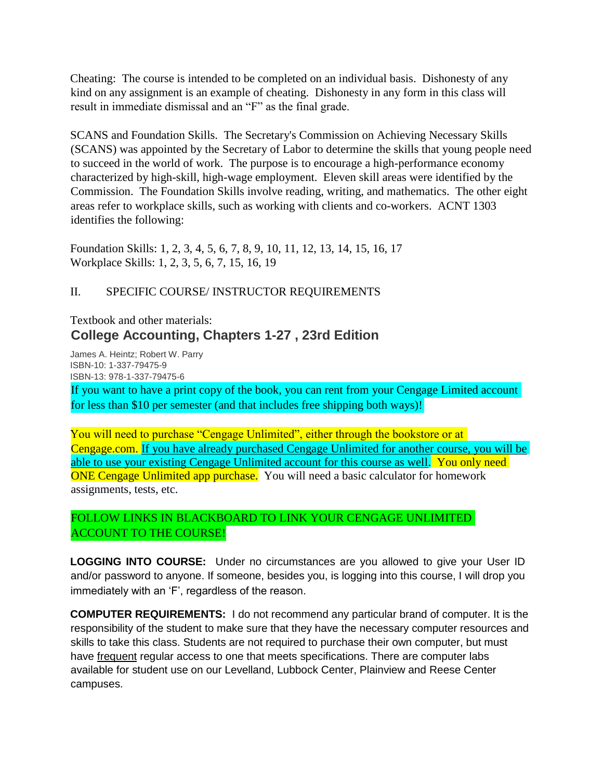Cheating: The course is intended to be completed on an individual basis. Dishonesty of any kind on any assignment is an example of cheating. Dishonesty in any form in this class will result in immediate dismissal and an "F" as the final grade.

SCANS and Foundation Skills. The Secretary's Commission on Achieving Necessary Skills (SCANS) was appointed by the Secretary of Labor to determine the skills that young people need to succeed in the world of work. The purpose is to encourage a high-performance economy characterized by high-skill, high-wage employment. Eleven skill areas were identified by the Commission. The Foundation Skills involve reading, writing, and mathematics. The other eight areas refer to workplace skills, such as working with clients and co-workers. ACNT 1303 identifies the following:

Foundation Skills: 1, 2, 3, 4, 5, 6, 7, 8, 9, 10, 11, 12, 13, 14, 15, 16, 17 Workplace Skills: 1, 2, 3, 5, 6, 7, 15, 16, 19

## II. SPECIFIC COURSE/ INSTRUCTOR REQUIREMENTS

# Textbook and other materials: **College Accounting, Chapters 1-27 , 23rd Edition**

James A. Heintz; Robert W. Parry ISBN-10: 1-337-79475-9 ISBN-13: 978-1-337-79475-6

If you want to have a print copy of the book, you can rent from your Cengage Limited account for less than \$10 per semester (and that includes free shipping both ways)!

You will need to purchase "Cengage Unlimited", either through the bookstore or at Cengage.com. If you have already purchased Cengage Unlimited for another course, you will be able to use your existing Cengage Unlimited account for this course as well. You only need ONE Cengage Unlimited app purchase. You will need a basic calculator for homework assignments, tests, etc.

# FOLLOW LINKS IN BLACKBOARD TO LINK YOUR CENGAGE UNLIMITED ACCOUNT TO THE COURSE!

**LOGGING INTO COURSE:** Under no circumstances are you allowed to give your User ID and/or password to anyone. If someone, besides you, is logging into this course, I will drop you immediately with an 'F', regardless of the reason.

**COMPUTER REQUIREMENTS:** I do not recommend any particular brand of computer. It is the responsibility of the student to make sure that they have the necessary computer resources and skills to take this class. Students are not required to purchase their own computer, but must have frequent regular access to one that meets specifications. There are computer labs available for student use on our Levelland, Lubbock Center, Plainview and Reese Center campuses.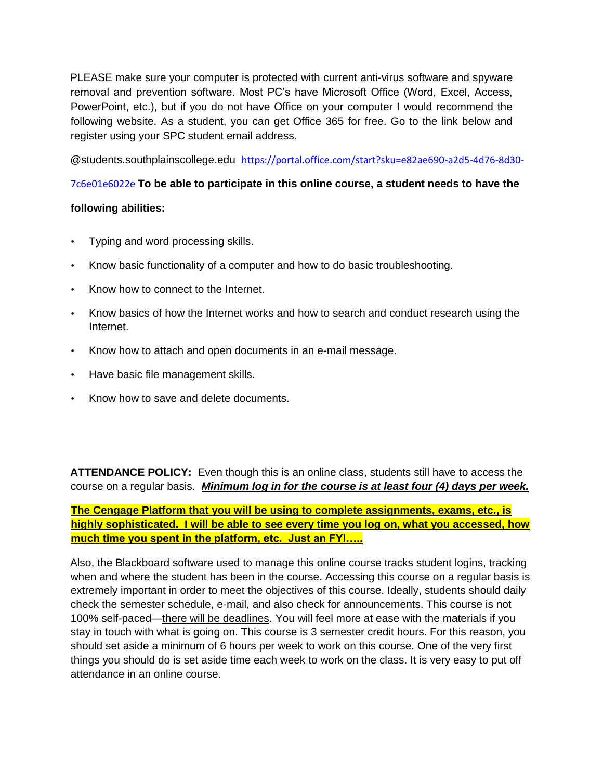PLEASE make sure your computer is protected with current anti-virus software and spyware removal and prevention software. Most PC's have Microsoft Office (Word, Excel, Access, PowerPoint, etc.), but if you do not have Office on your computer I would recommend the following website. As a student, you can get Office 365 for free. Go to the link below and register using your SPC student email address.

@students.southplainscollege.edu [https://portal.office.com/start?sku=e82ae690-a2d5-4d76-8d30-](https://portal.office.com/start?sku=e82ae690-a2d5-4d76-8d30-7c6e01e6022e)

# [7c6e01e6022e](https://portal.office.com/start?sku=e82ae690-a2d5-4d76-8d30-7c6e01e6022e) **To be able to participate in this online course, a student needs to have the**

## **following abilities:**

- Typing and word processing skills.
- Know basic functionality of a computer and how to do basic troubleshooting.
- Know how to connect to the Internet.
- Know basics of how the Internet works and how to search and conduct research using the Internet.
- Know how to attach and open documents in an e-mail message.
- Have basic file management skills.
- Know how to save and delete documents.

**ATTENDANCE POLICY:** Even though this is an online class, students still have to access the course on a regular basis. *Minimum log in for the course is at least four (4) days per week.*

**The Cengage Platform that you will be using to complete assignments, exams, etc., is highly sophisticated. I will be able to see every time you log on, what you accessed, how much time you spent in the platform, etc. Just an FYI…..**

Also, the Blackboard software used to manage this online course tracks student logins, tracking when and where the student has been in the course. Accessing this course on a regular basis is extremely important in order to meet the objectives of this course. Ideally, students should daily check the semester schedule, e-mail, and also check for announcements. This course is not 100% self-paced—there will be deadlines. You will feel more at ease with the materials if you stay in touch with what is going on. This course is 3 semester credit hours. For this reason, you should set aside a minimum of 6 hours per week to work on this course. One of the very first things you should do is set aside time each week to work on the class. It is very easy to put off attendance in an online course.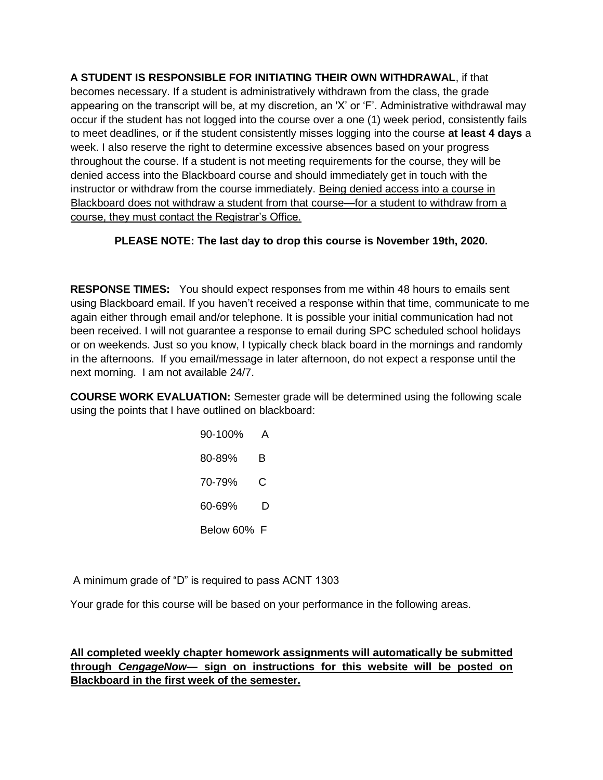**A STUDENT IS RESPONSIBLE FOR INITIATING THEIR OWN WITHDRAWAL**, if that becomes necessary. If a student is administratively withdrawn from the class, the grade appearing on the transcript will be, at my discretion, an 'X' or 'F'. Administrative withdrawal may occur if the student has not logged into the course over a one (1) week period, consistently fails to meet deadlines, or if the student consistently misses logging into the course **at least 4 days** a week. I also reserve the right to determine excessive absences based on your progress throughout the course. If a student is not meeting requirements for the course, they will be denied access into the Blackboard course and should immediately get in touch with the instructor or withdraw from the course immediately. Being denied access into a course in Blackboard does not withdraw a student from that course—for a student to withdraw from a course, they must contact the Registrar's Office.

# **PLEASE NOTE: The last day to drop this course is November 19th, 2020.**

**RESPONSE TIMES:** You should expect responses from me within 48 hours to emails sent using Blackboard email. If you haven't received a response within that time, communicate to me again either through email and/or telephone. It is possible your initial communication had not been received. I will not guarantee a response to email during SPC scheduled school holidays or on weekends. Just so you know, I typically check black board in the mornings and randomly in the afternoons. If you email/message in later afternoon, do not expect a response until the next morning. I am not available 24/7.

**COURSE WORK EVALUATION:** Semester grade will be determined using the following scale using the points that I have outlined on blackboard:

| 90-100%     |   |
|-------------|---|
| 80-89%      | в |
| 70-79%      | C |
|             | D |
| Below 60% F |   |

A minimum grade of "D" is required to pass ACNT 1303

Your grade for this course will be based on your performance in the following areas.

**All completed weekly chapter homework assignments will automatically be submitted through** *CengageNow—* **sign on instructions for this website will be posted on Blackboard in the first week of the semester.**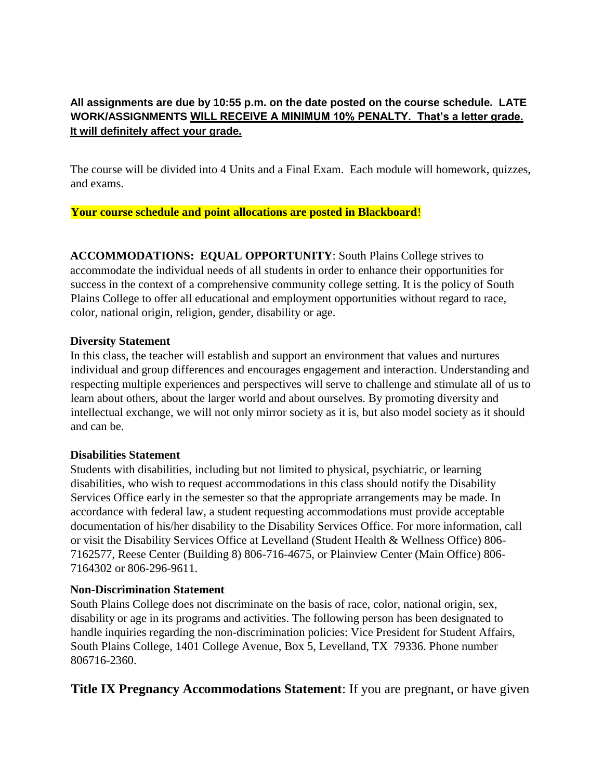# **All assignments are due by 10:55 p.m. on the date posted on the course schedule. LATE WORK/ASSIGNMENTS WILL RECEIVE A MINIMUM 10% PENALTY. That's a letter grade. It will definitely affect your grade.**

The course will be divided into 4 Units and a Final Exam. Each module will homework, quizzes, and exams.

**Your course schedule and point allocations are posted in Blackboard**!

**ACCOMMODATIONS: EQUAL OPPORTUNITY**: South Plains College strives to accommodate the individual needs of all students in order to enhance their opportunities for success in the context of a comprehensive community college setting. It is the policy of South Plains College to offer all educational and employment opportunities without regard to race, color, national origin, religion, gender, disability or age.

## **Diversity Statement**

In this class, the teacher will establish and support an environment that values and nurtures individual and group differences and encourages engagement and interaction. Understanding and respecting multiple experiences and perspectives will serve to challenge and stimulate all of us to learn about others, about the larger world and about ourselves. By promoting diversity and intellectual exchange, we will not only mirror society as it is, but also model society as it should and can be.

### **Disabilities Statement**

Students with disabilities, including but not limited to physical, psychiatric, or learning disabilities, who wish to request accommodations in this class should notify the Disability Services Office early in the semester so that the appropriate arrangements may be made. In accordance with federal law, a student requesting accommodations must provide acceptable documentation of his/her disability to the Disability Services Office. For more information, call or visit the Disability Services Office at Levelland (Student Health & Wellness Office) 806- 7162577, Reese Center (Building 8) 806-716-4675, or Plainview Center (Main Office) 806- 7164302 or 806-296-9611.

### **Non-Discrimination Statement**

South Plains College does not discriminate on the basis of race, color, national origin, sex, disability or age in its programs and activities. The following person has been designated to handle inquiries regarding the non-discrimination policies: Vice President for Student Affairs, South Plains College, 1401 College Avenue, Box 5, Levelland, TX 79336. Phone number 806716-2360.

**Title IX Pregnancy Accommodations Statement:** If you are pregnant, or have given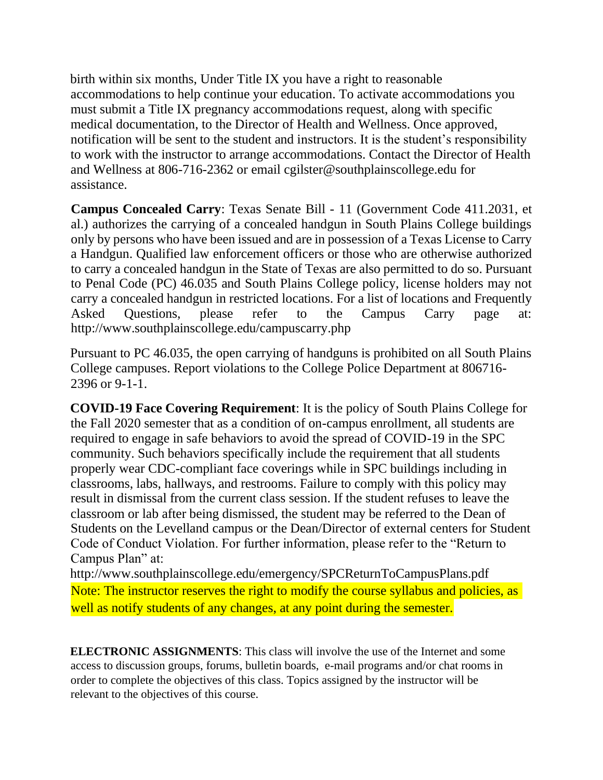birth within six months, Under Title IX you have a right to reasonable accommodations to help continue your education. To activate accommodations you must submit a Title IX pregnancy accommodations request, along with specific medical documentation, to the Director of Health and Wellness. Once approved, notification will be sent to the student and instructors. It is the student's responsibility to work with the instructor to arrange accommodations. Contact the Director of Health and Wellness at 806-716-2362 or email cgilster@southplainscollege.edu for assistance.

**Campus Concealed Carry**: Texas Senate Bill - 11 (Government Code 411.2031, et al.) authorizes the carrying of a concealed handgun in South Plains College buildings only by persons who have been issued and are in possession of a Texas License to Carry a Handgun. Qualified law enforcement officers or those who are otherwise authorized to carry a concealed handgun in the State of Texas are also permitted to do so. Pursuant to Penal Code (PC) 46.035 and South Plains College policy, license holders may not carry a concealed handgun in restricted locations. For a list of locations and Frequently Asked Questions, please refer to the Campus Carry page at: http://www.southplainscollege.edu/campuscarry.php

Pursuant to PC 46.035, the open carrying of handguns is prohibited on all South Plains College campuses. Report violations to the College Police Department at 806716- 2396 or 9-1-1.

**COVID-19 Face Covering Requirement**: It is the policy of South Plains College for the Fall 2020 semester that as a condition of on-campus enrollment, all students are required to engage in safe behaviors to avoid the spread of COVID-19 in the SPC community. Such behaviors specifically include the requirement that all students properly wear CDC-compliant face coverings while in SPC buildings including in classrooms, labs, hallways, and restrooms. Failure to comply with this policy may result in dismissal from the current class session. If the student refuses to leave the classroom or lab after being dismissed, the student may be referred to the Dean of Students on the Levelland campus or the Dean/Director of external centers for Student Code of Conduct Violation. For further information, please refer to the "Return to Campus Plan" at:

http://www.southplainscollege.edu/emergency/SPCReturnToCampusPlans.pdf Note: The instructor reserves the right to modify the course syllabus and policies, as well as notify students of any changes, at any point during the semester.

**ELECTRONIC ASSIGNMENTS**: This class will involve the use of the Internet and some access to discussion groups, forums, bulletin boards, e-mail programs and/or chat rooms in order to complete the objectives of this class. Topics assigned by the instructor will be relevant to the objectives of this course.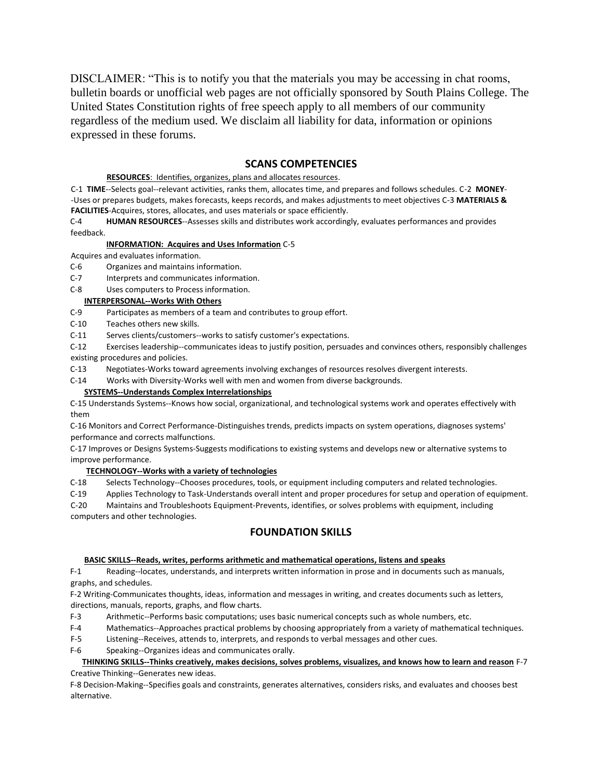DISCLAIMER: "This is to notify you that the materials you may be accessing in chat rooms, bulletin boards or unofficial web pages are not officially sponsored by South Plains College. The United States Constitution rights of free speech apply to all members of our community regardless of the medium used. We disclaim all liability for data, information or opinions expressed in these forums.

### **SCANS COMPETENCIES**

### **RESOURCES**: Identifies, organizes, plans and allocates resources.

C-1 **TIME**--Selects goal--relevant activities, ranks them, allocates time, and prepares and follows schedules. C-2 **MONEY**- -Uses or prepares budgets, makes forecasts, keeps records, and makes adjustments to meet objectives C-3 **MATERIALS & FACILITIES**-Acquires, stores, allocates, and uses materials or space efficiently.

C-4 **HUMAN RESOURCES**--Assesses skills and distributes work accordingly, evaluates performances and provides feedback.

#### **INFORMATION: Acquires and Uses Information** C-5

Acquires and evaluates information.

C-6 Organizes and maintains information.

C-7 Interprets and communicates information.

### C-8 Uses computers to Process information.

#### **INTERPERSONAL--Works With Others**

C-9 Participates as members of a team and contributes to group effort.

C-10 Teaches others new skills.

C-11 Serves clients/customers--works to satisfy customer's expectations.

C-12 Exercises leadership--communicates ideas to justify position, persuades and convinces others, responsibly challenges existing procedures and policies.

C-13 Negotiates-Works toward agreements involving exchanges of resources resolves divergent interests.

C-14 Works with Diversity-Works well with men and women from diverse backgrounds.

#### **SYSTEMS--Understands Complex Interrelationships**

C-15 Understands Systems--Knows how social, organizational, and technological systems work and operates effectively with them

C-16 Monitors and Correct Performance-Distinguishes trends, predicts impacts on system operations, diagnoses systems' performance and corrects malfunctions.

C-17 Improves or Designs Systems-Suggests modifications to existing systems and develops new or alternative systems to improve performance.

### **TECHNOLOGY--Works with a variety of technologies**

C-18 Selects Technology--Chooses procedures, tools, or equipment including computers and related technologies.

C-19 Applies Technology to Task-Understands overall intent and proper procedures for setup and operation of equipment.

C-20 Maintains and Troubleshoots Equipment-Prevents, identifies, or solves problems with equipment, including computers and other technologies.

### **FOUNDATION SKILLS**

#### **BASIC SKILLS--Reads, writes, performs arithmetic and mathematical operations, listens and speaks**

F-1 Reading--locates, understands, and interprets written information in prose and in documents such as manuals, graphs, and schedules.

F-2 Writing-Communicates thoughts, ideas, information and messages in writing, and creates documents such as letters, directions, manuals, reports, graphs, and flow charts.

F-3 Arithmetic--Performs basic computations; uses basic numerical concepts such as whole numbers, etc.

F-4 Mathematics--Approaches practical problems by choosing appropriately from a variety of mathematical techniques.

F-5 Listening--Receives, attends to, interprets, and responds to verbal messages and other cues.

F-6 Speaking--Organizes ideas and communicates orally.

#### **THINKING SKILLS--Thinks creatively, makes decisions, solves problems, visualizes, and knows how to learn and reason** F-7 Creative Thinking--Generates new ideas.

F-8 Decision-Making--Specifies goals and constraints, generates alternatives, considers risks, and evaluates and chooses best alternative.